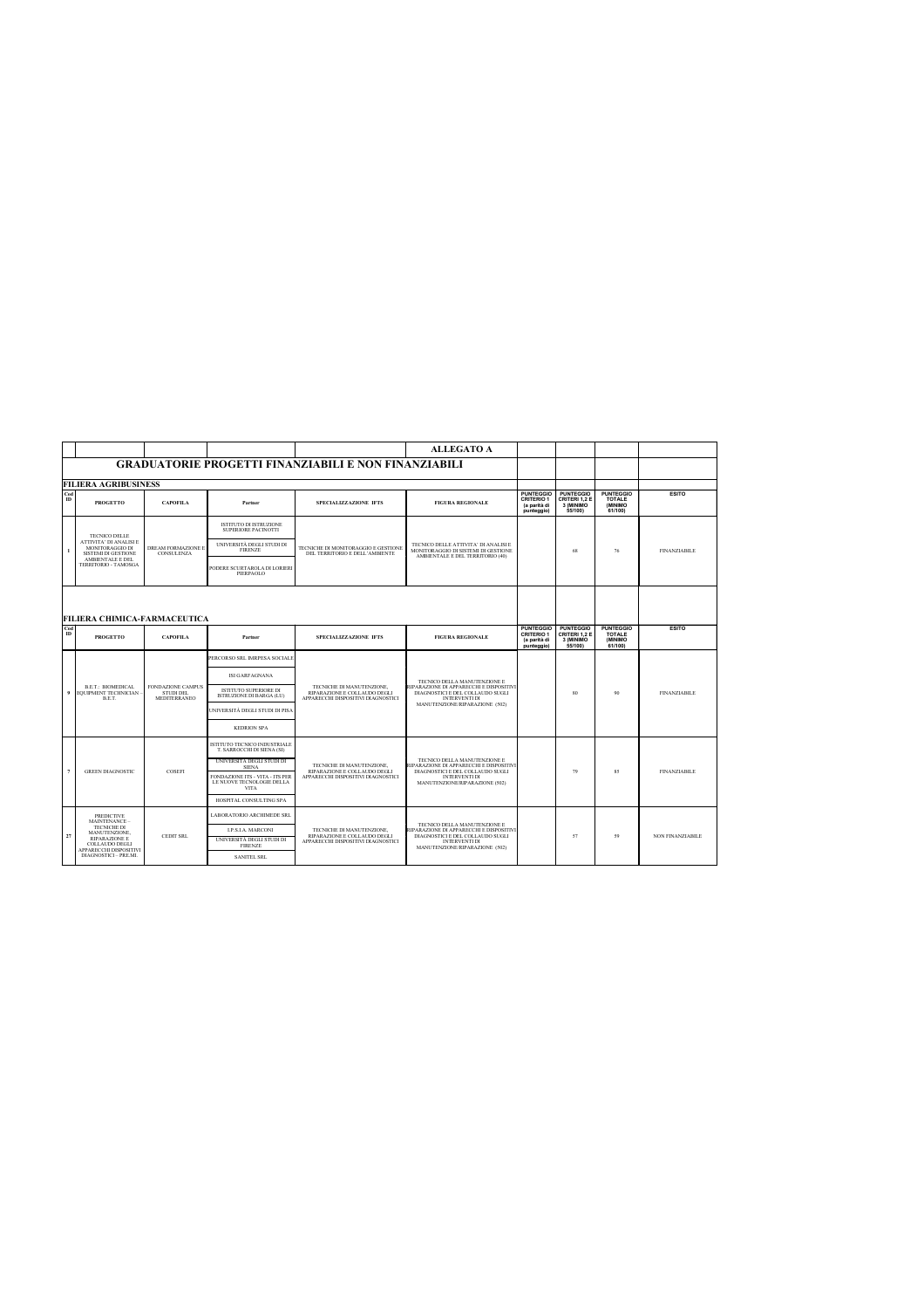|              |                                                                  |                                                              |                                                                             |                                                                                                 | <b>ALLEGATO A</b>                                                                                                                                                     |                                                                     |                                                           |                                                          |                     |
|--------------|------------------------------------------------------------------|--------------------------------------------------------------|-----------------------------------------------------------------------------|-------------------------------------------------------------------------------------------------|-----------------------------------------------------------------------------------------------------------------------------------------------------------------------|---------------------------------------------------------------------|-----------------------------------------------------------|----------------------------------------------------------|---------------------|
|              | <b>GRADUATORIE PROGETTI FINANZIABILI E NON FINANZIABILI</b>      |                                                              |                                                                             |                                                                                                 |                                                                                                                                                                       |                                                                     |                                                           |                                                          |                     |
|              | <b>FILIERA AGRIBUSINESS</b>                                      |                                                              |                                                                             |                                                                                                 |                                                                                                                                                                       |                                                                     |                                                           |                                                          |                     |
| Cod<br>ID    | <b>PROGETTO</b>                                                  | <b>CAPOFILA</b>                                              | Partner                                                                     | SPECIALIZZAZIONE IFTS                                                                           | <b>FIGURA REGIONALE</b>                                                                                                                                               | <b>PUNTEGGIO</b><br><b>CRITERIO 1</b><br>(a parità di<br>punteggio) | <b>PUNTEGGIO</b><br>CRITERI 1.2 E<br>3 (MINIMO<br>55/100) | <b>PUNTEGGIO</b><br><b>TOTALE</b><br>(MINIMO)<br>61/100) | <b>ESITO</b>        |
|              | <b>TECNICO DELLE</b>                                             |                                                              | <b>ISTITUTO DI ISTRUZIONE</b><br>SUPERIORE PACINOTTI                        |                                                                                                 |                                                                                                                                                                       |                                                                     |                                                           |                                                          |                     |
| $\mathbf{I}$ | ATTIVITA' DI ANALISI E<br>MONITORAGGIO DI<br>SISTEMI DI GESTIONE | DREAM FORMAZIONE E<br>CONSULENZA                             | UNIVERSITÀ DEGLI STUDI DI<br><b>FIRENZE</b>                                 | TECNICHE DI MONITORAGGIO E GESTIONE<br>DEL TERRITORIO E DELL'AMBIENTE                           | TECNICO DELLE ATTIVITA' DI ANALISI E<br>MONITORAGGIO DI SISTEMI DI GESTIONE<br>AMBIENTALE E DEL TERRITORIO (40)                                                       |                                                                     | 68                                                        | 76                                                       | <b>FINANZIABILE</b> |
|              | AMBIENTALE E DEL<br>TERRITORIO - TAMOSGA                         |                                                              | PODERE SCURTAROLA DI LORIERI<br>PIERPAOLO                                   |                                                                                                 |                                                                                                                                                                       |                                                                     |                                                           |                                                          |                     |
|              | FILIERA CHIMICA-FARMACEUTICA                                     |                                                              |                                                                             |                                                                                                 |                                                                                                                                                                       |                                                                     |                                                           |                                                          |                     |
| Cod<br>ID    | <b>PROGETTO</b>                                                  | <b>CAPOFILA</b>                                              | Partner                                                                     | SPECIALIZZAZIONE IFTS                                                                           | <b>FIGURA REGIONALE</b>                                                                                                                                               | <b>PUNTEGGIO</b><br><b>CRITERIO 1</b><br>(a parità di<br>punteggio) | <b>PUNTEGGIO</b><br>CRITERI 1,2 E<br>3 (MINIMO<br>55/100) | <b>PUNTEGGIO</b><br><b>TOTALE</b><br>(MINIMO)<br>61/100  | <b>ESITO</b>        |
|              |                                                                  | <b>FONDAZIONE CAMPUS</b><br><b>STUDI DEL</b><br>MEDITERRANEO | PERCORSO SRL IMRPESA SOCIALE                                                | TECNICHE DI MANUTENZIONE.<br>RIPARAZIONE E COLLAUDO DEGLI<br>APPARECCHI DISPOSITIVI DIAGNOSTICI | TECNICO DELLA MANUTENZIONE E<br>RIPARAZIONE DI APPARECCHI E DISPOSITIVI<br>DIAGNOSTICI E DEL COLLAUDO SUGLI<br><b>INTERVENTI DI</b><br>MANUTENZIONE/RIPARAZIONE (502) |                                                                     |                                                           |                                                          |                     |
|              |                                                                  |                                                              | ISI GARFAGNANA                                                              |                                                                                                 |                                                                                                                                                                       |                                                                     |                                                           |                                                          |                     |
| 9            | <b>B.E.T.: BIOMEDICAL</b><br>EOUIPMENT TECHNICIAN<br>B.E.T.      |                                                              | <b>ISTITUTO SUPERIORE DI</b><br>ISTRUZIONE DI BARGA (LU)                    |                                                                                                 |                                                                                                                                                                       |                                                                     | 80                                                        | 90                                                       | <b>FINANZIABILE</b> |
|              |                                                                  |                                                              | UNIVERSITÀ DEGLI STUDI DI PISA                                              |                                                                                                 |                                                                                                                                                                       |                                                                     |                                                           |                                                          |                     |
|              |                                                                  |                                                              | <b>KEDRION SPA</b>                                                          |                                                                                                 |                                                                                                                                                                       |                                                                     |                                                           |                                                          |                     |
|              |                                                                  | COSEFI                                                       | ISTITUTO TECNICO INDUSTRIALE<br>T. SARROCCHI DI SIENA (SI)                  |                                                                                                 | TECNICO DELLA MANUTENZIONE E<br>RIPARAZIONE DI APPARECCHI E DISPOSITIVI<br>DIAGNOSTICI E DEL COLLAUDO SUGLI                                                           |                                                                     |                                                           |                                                          |                     |
| 7            | <b>GREEN DIAGNOSTIC</b>                                          |                                                              | UNIVERSITÀ DEGLI STUDI DI<br><b>SIENA</b>                                   | TECNICHE DI MANUTENZIONE.<br>RIPARAZIONE E COLLAUDO DEGLI                                       |                                                                                                                                                                       |                                                                     | 79                                                        | 85                                                       | <b>FINANZIABILE</b> |
|              |                                                                  |                                                              | FONDAZIONE ITS - VITA - ITS PER<br>LE NUOVE TECNOLOGIE DELLA<br><b>VITA</b> | APPARECCHI DISPOSITIVI DIAGNOSTICI                                                              | <b>INTERVENTI DI</b><br>MANUTENZIONE/RIPARAZIONE (502)                                                                                                                |                                                                     |                                                           |                                                          |                     |
|              |                                                                  |                                                              | HOSPITAL CONSULTING SPA                                                     |                                                                                                 |                                                                                                                                                                       |                                                                     |                                                           |                                                          |                     |
|              | <b>PREDICTIVE</b><br>MAINTENANCE -                               |                                                              | <b>LABORATORIO ARCHIMEDE SRL</b>                                            |                                                                                                 |                                                                                                                                                                       |                                                                     |                                                           |                                                          |                     |
|              | <b>TECNICHE DI</b><br>MANUTENZIONE.                              |                                                              | <b>LP.S.LA. MARCONI</b>                                                     | TECNICHE DI MANUTENZIONE.                                                                       | TECNICO DELLA MANUTENZIONE E<br>RIPARAZIONE DI APPARECCHI E DISPOSITIV<br>DIAGNOSTICI E DEL COLLAUDO SUGLI<br><b>INTERVENTI DI</b><br>MANUTENZIONE/RIPARAZIONE (502)  |                                                                     |                                                           |                                                          |                     |
| 27           | RIPARAZIONE E<br><b>COLLAUDO DEGLI</b><br>APPARECCHI DISPOSITIVI | CEDIT SRL                                                    | UNIVERSITÀ DEGLI STUDI DI<br><b>FIRENZE</b>                                 | RIPARAZIONE E COLLAUDO DEGLI<br>APPARECCHI DISPOSITIVI DIAGNOSTICI                              |                                                                                                                                                                       |                                                                     | 57                                                        | 59                                                       | NON FINANZIABILE    |
|              | DIAGNOSTICI - PRE.MI.                                            |                                                              | <b>SANITEL SRL</b>                                                          |                                                                                                 |                                                                                                                                                                       |                                                                     |                                                           |                                                          |                     |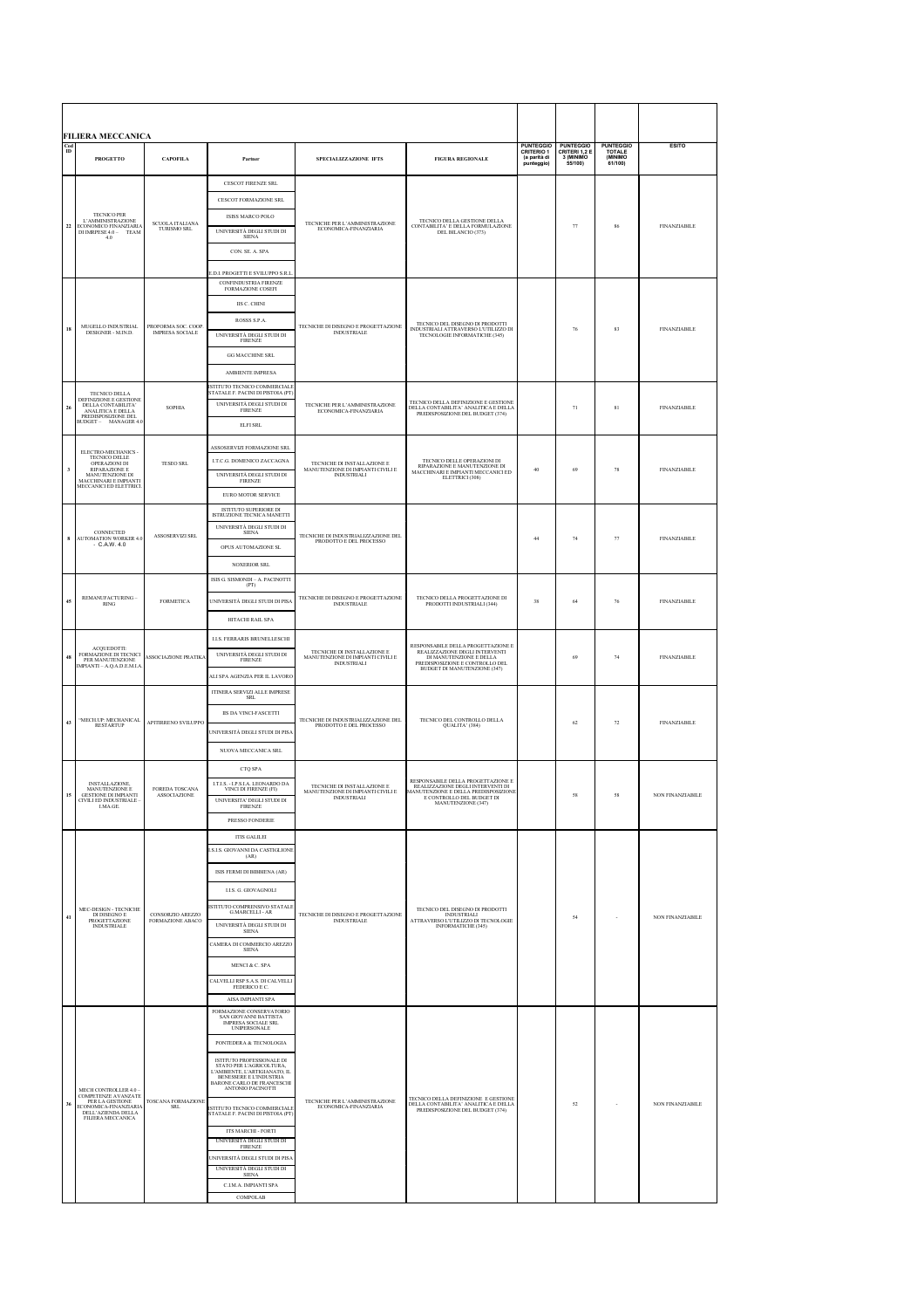| <b>FILIERA MECCANICA</b> |                                                                                                                                               |                                              |                                                                                                                                                                                                                                                                                                                                                                                                                                                                                                                                                                           |                                                                                        |                                                                                                                                                                    |                                                                     |                                                           |                                                  |                     |
|--------------------------|-----------------------------------------------------------------------------------------------------------------------------------------------|----------------------------------------------|---------------------------------------------------------------------------------------------------------------------------------------------------------------------------------------------------------------------------------------------------------------------------------------------------------------------------------------------------------------------------------------------------------------------------------------------------------------------------------------------------------------------------------------------------------------------------|----------------------------------------------------------------------------------------|--------------------------------------------------------------------------------------------------------------------------------------------------------------------|---------------------------------------------------------------------|-----------------------------------------------------------|--------------------------------------------------|---------------------|
| $_{\rm ID}^{\rm Cod}$    | <b>PROGETTO</b>                                                                                                                               | <b>CAPOFILA</b>                              | Partner                                                                                                                                                                                                                                                                                                                                                                                                                                                                                                                                                                   | SPECIALIZZAZIONE IFTS                                                                  | <b>FIGURA REGIONALE</b>                                                                                                                                            | <b>PUNTEGGIO</b><br><b>CRITERIO 1</b><br>(a parità di<br>punteggio) | <b>PUNTEGGIO</b><br>CRITERI 1,2 E<br>3 (MINIMO<br>55/100) | <b>PUNTEGGIO</b><br>TOTALE<br>(MINIMO<br>61/100) | <b>ESITO</b>        |
| $\bf{22}$                | <b>TECNICO PER</b><br>L'AMMINISTRAZIONE<br>ECONOMICO FINANZIARIA<br>DI IMRPESE 4.0 -<br>TEAM<br>4.0                                           | <b>SCUOLA ITALIANA</b><br>TURISMO SRL        | CESCOT FIRENZE SRL<br><b>CESCOT FORMAZIONE SRL</b><br>ISISS MARCO POLO<br>UNIVERSITÀ DEGLI STUDI DI<br><b>SIENA</b><br>CON. SE. A. SPA<br><b>LD.I. PROGETTI E SVILUPPO S.R.I</b>                                                                                                                                                                                                                                                                                                                                                                                          | TECNICHE PER L'AMMINISTRAZIONE<br>ECONOMICA-FINANZIARIA                                | TECNICO DELLA GESTIONE DELLA<br>CONTABILITA' E DELLA FORMULAZIONE<br>DEL BILANCIO (373)                                                                            |                                                                     | 77                                                        | 86                                               | <b>FINANZIABILE</b> |
| 18                       | MUGELLO INDUSTRIAL<br>DESIGNER - M.IN.D.                                                                                                      | PROFORMA SOC. COOP<br><b>IMPRESA SOCIALE</b> | CONFINDUSTRIA FIRENZE<br>FORMAZIONE COSEFI<br>IIS C. CHINI<br>ROSSS S.P.A.<br>UNIVERSITÀ DEGLI STUDI DI $$\tt FIRENZE$$<br><b>GG MACCHINE SRL</b><br>AMBIENTE IMPRESA                                                                                                                                                                                                                                                                                                                                                                                                     | TECNICHE DI DISEGNO E PROGETTAZIONE<br><b>INDUSTRIALE</b>                              | TECNICO DEL DISEGNO DI PRODOTTI<br>INDUSTRIALI ATTRAVERSO L'UTILIZZO DI<br>TECNOLOGIE INFORMATICHE (345)                                                           |                                                                     | 76                                                        | 83                                               | <b>FINANZIABILE</b> |
| 26                       | <b>TECNICO DELLA</b><br>DEFINIZIONE E GESTIONE<br>DELLA CONTABILITA'<br>ANALITICA E DELLA<br>PREDISPOSIZIONE DEL<br>MANAGER 4.0<br>$BUDGET -$ | SOPHIA                                       | ISTITUTO TECNICO COMMERCIALE<br>STATALE F. PACINI DI PISTOIA (PT)<br>UNIVERSITÀ DEGLI STUDI DI<br><b>FIRENZE</b><br><b>ELFI SRL</b>                                                                                                                                                                                                                                                                                                                                                                                                                                       | TECNICHE PER L'AMMINISTRAZIONE ECONOMICA-FINANZIARIA                                   | TECNICO DELLA DEFINIZIONE E GESTIONE<br>DELLA CONTABILITA' ANALITICA E DELLA PREDISPOSIZIONE DEL BUDGET (374)                                                      |                                                                     | 71                                                        | $81\,$                                           | <b>FINANZIABILE</b> |
| $\overline{\mathbf{3}}$  | ELECTRO-MECHANICS -<br>TECNICO DELLE<br>OPERAZIONI DI<br>RIPARAZIONE E<br>MANUTENZIONE DI<br>MACCHINARI E IMPIANTI<br>MECCANICI ED ELETTRICI  | <b>TESEO SRL</b>                             | ASSOSERVIZI FORMAZIONE SRL<br><b>I.T.C.G. DOMENICO ZACCAGNA</b><br>UNIVERSITÀ DEGLI STUDI DI<br>FIRENZE<br>EURO MOTOR SERVICE                                                                                                                                                                                                                                                                                                                                                                                                                                             | TECNICHE DI INSTALLAZIONE E<br>MANUTENZIONE DI IMPIANTI CIVILI E<br><b>INDUSTRIALI</b> | TECNICO DELLE OPERAZIONI DI<br>RIPARAZIONE E MANUTENZIONE DI<br>MACCHINARI E IMPIANTI MECCANICI ED<br>ELETTRICI (308)                                              | 40                                                                  | 69                                                        | 78                                               | <b>FINANZIABILE</b> |
| 8                        | CONNECTED<br><b>AUTOMATION WORKER 4.0</b><br>$-C.A.W. 4.0$                                                                                    | ASSOSERVIZI SRL                              | ISTITUTO SUPERIORE DI<br>ISTRUZIONE TECNICA MANETTI<br>UNIVERSITÀ DEGLI STUDI DI<br><b>SIENA</b><br>OPUS AUTOMAZIONE SL<br>NOXERIOR SRL                                                                                                                                                                                                                                                                                                                                                                                                                                   | TECNICHE DI INDUSTRIALIZZAZIONE DEL PRODOTTO E DEL PROCESSO                            |                                                                                                                                                                    | 44                                                                  | 74                                                        | 77                                               | <b>FINANZIABILE</b> |
| 45                       | REMANUFACTURING-<br><b>RING</b>                                                                                                               | <b>FORMETICA</b>                             | ISIS G. SISMONDI - A. PACINOTTI<br>(PT)<br>UNIVERSITÀ DEGLI STUDI DI PIS/<br>HITACHI RAIL SPA                                                                                                                                                                                                                                                                                                                                                                                                                                                                             | TECNICHE DI DISEGNO E PROGETTAZIONE<br><b>INDUSTRIALE</b>                              | TECNICO DELLA PROGETTAZIONE DI<br>PRODOTTI INDUSTRIALI (344)                                                                                                       | 38                                                                  | 64                                                        | 76                                               | <b>FINANZIABILE</b> |
| 48                       | ACQUEDOTTI:<br>FORMAZIONE DI TECNICI<br>PER MANUTENZIONE<br>MPIANTI - A.Q.A.D.E.M.LA                                                          | <b>ASSOCIAZIONE PRATIK.</b>                  | <b>LLS. FERRARIS BRUNELLESCHI</b><br>UNIVERSITÀ DEGLI STUDI DI<br><b>FIRENZE</b><br>ALI SPA AGENZIA PER IL LAVORO                                                                                                                                                                                                                                                                                                                                                                                                                                                         | TECNICHE DI INSTALLAZIONE E<br>MANUTENZIONE DI IMPIANTI CIVILI E<br>INDUSTRIALI        | RESPONSABILE DELLA PROGETTAZIONE E<br>REALIZZAZIONE DEGLI INTERVENTI<br>DI MANUTENZIONE E DELLA<br>PREDISPOSIZIONE E CONTROLLO DEL<br>BUDGET DI MANUTENZIONE (347) |                                                                     | 69                                                        | 74                                               | <b>FINANZIABILE</b> |
| 43                       | "MECH.UP: MECHANICAL<br><b>RESTARTUP</b>                                                                                                      | APITIRRENO SVILUPPO                          | ITINERA SERVIZI ALLE IMPRESE $_{\small \texttt{SRL}}$<br>IIS DA VINCI-FASCETTI<br><b>INIVERSITÀ DEGLI STUDI DI PIS/</b><br>NUOVA MECCANICA SRL                                                                                                                                                                                                                                                                                                                                                                                                                            | TECNICHE DI INDUSTRIALIZZAZIONE DEL<br>PRODOTTO E DEL PROCESSO                         | TECNICO DEL CONTROLLO DELLA<br>QUALITA' (384)                                                                                                                      |                                                                     | 62                                                        | 72                                               | <b>FINANZIABILE</b> |
| 15                       | INSTALLAZIONE,<br>MANUTENZIONE E<br>GESTIONE DI IMPIANTI<br>CIVILI ED INDUSTRIALE<br>I.MA.GE.                                                 | FOREDA TOSCANA<br><b>ASSOCIAZIONE</b>        | CTQ SPA<br>LT.I.S. - LP.S.LA. LEONARDO DA<br>VINCI DI FIRENZE (FI)<br>UNIVERSITA' DEGLI STUDI DI<br><b>FIRENZE</b><br>PRESSO FONDERIE                                                                                                                                                                                                                                                                                                                                                                                                                                     | TECNICHE DI INSTALLAZIONE E<br>MANUTENZIONE DI IMPIANTI CIVILI E<br><b>INDUSTRIALI</b> | RESPONSABILE DELLA PROGETTAZIONE E<br>REALIZZAZIONE DEGLI INTERVENTI DI<br>MANUTENZIONE E DELLA PREDISPOSIZIONE<br>GET DI<br>MANUTENZIONE (347)                    |                                                                     | $^{\rm 58}$                                               | $58\,$                                           | NON FINANZIABILE    |
| 41                       | MEC-DESIGN - TECNICHE<br>DI DISEGNO E<br><b>PROGETTAZIONE</b><br><b>INDUSTRIALE</b>                                                           | CONSORZIO AREZZO<br>FORMAZIONE ABACO         | <b>ITIS GALILEI</b><br>LS.I.S. GIOVANNI DA CASTIGLIONE<br>(AR)<br>ISIS FERMI DI BIBBIENA (AR)<br>LLS. G. GIOVAGNOLI<br>ISTITUTO COMPRENSIVO STATALI<br>G.MARCELLI - AR<br>UNIVERSITÀ DEGLI STUDI DI SIENA<br>CAMERA DI COMMERCIO AREZZO SIENA<br>MENCI & C. SPA<br>CALVELLI RSP S.A.S. DI CALVELLI FEDERICO E C.<br>AISA IMPIANTI SPA                                                                                                                                                                                                                                     | TECNICHE DI DISEGNO E PROGETTAZIONE<br><b>INDUSTRIALE</b>                              | TECNICO DEL DISEGNO DI PRODOTTI<br><b>INDUSTRIALI</b><br>ATTRAVERSO L'UTILIZZO DI TECNOLOGIE<br>INFORMATICHE (345)                                                 |                                                                     | 54                                                        |                                                  | NON FINANZIABILE    |
| 36                       | MECH CONTROLLER 4.0<br>COMPETENZE AVANZATE<br>ECONOMICA-FINANZIARIA<br>DELL'AZIENDA DELLA<br>FILIERA MECCANICA                                | TOSCANA FORMAZIONE<br><b>SRL</b>             | FORMAZIONE CONSERVATORIO<br>SAN GIOVANNI BATTISTA<br><b>IMPRESA SOCIALE SRL</b><br><b>UNIPERSONALE</b><br>PONTEDERA & TECNOLOGIA<br>ISTITUTO PROFESSIONALE DI<br>STATO PER L'AGRICOLTURA, L'AMBIENTE, L'ARTIGIANATO, IL<br>BENESSERE E L'INDUSTRIA<br><b>BARONE CARLO DE FRANCESCHI</b><br>ANTONIO PACINOTTI<br>ISTITUTO TECNICO COMMERCIALE<br>STATALE F. PACINI DI PISTOIA (PT<br>ITS MARCHI - FORTI<br>UNIVERSITÀ DEGLI STUDI DI<br><b>FIRENZE</b><br>UNIVERSITÀ DEGLI STUDI DI PISA<br>UNIVERSITÀ DEGLI STUDI DI<br><b>SIENA</b><br>C.I.M.A. IMPIANTI SPA<br>COMPOLAB | TECNICHE PER L'AMMINISTRAZIONE<br>ECONOMICA-FINANZIARIA                                | TECNICO DELLA DEFINIZIONE E GESTIONE<br>DELLA CONTABILITA' ANALITICA E DELLA<br>PREDISPOSIZIONE DEL BUDGET (374)                                                   |                                                                     | 52                                                        |                                                  | NON FINANZIABILE    |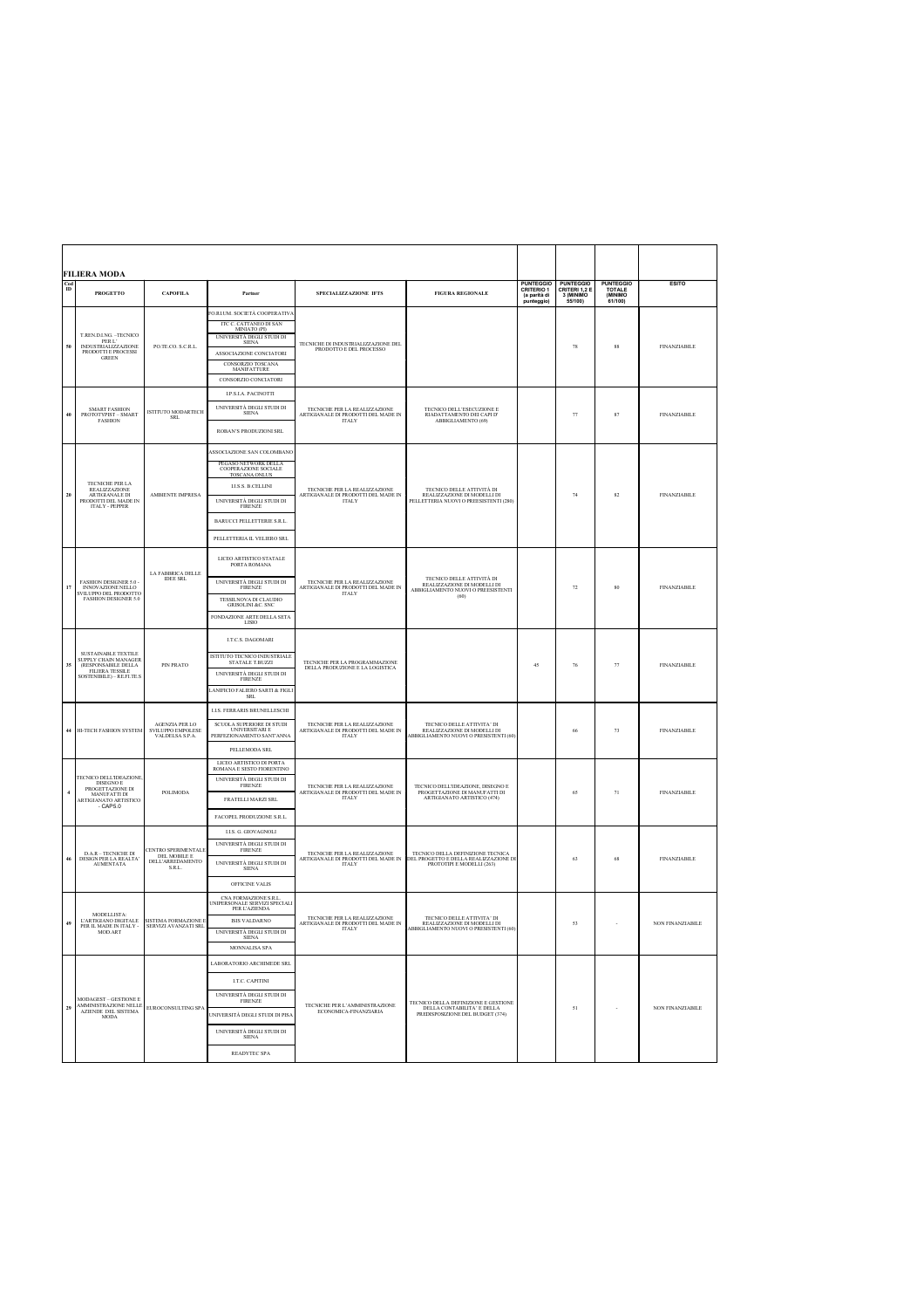|                  | <b>FILIERA MODA</b>                                                                                                         |                                                                  |                                                                                                                                                                                                                                                  |                                                                                                                           |                                                                                                         |                                                                     |                                                           |                                                        |                     |
|------------------|-----------------------------------------------------------------------------------------------------------------------------|------------------------------------------------------------------|--------------------------------------------------------------------------------------------------------------------------------------------------------------------------------------------------------------------------------------------------|---------------------------------------------------------------------------------------------------------------------------|---------------------------------------------------------------------------------------------------------|---------------------------------------------------------------------|-----------------------------------------------------------|--------------------------------------------------------|---------------------|
| Cod<br>$\bf{ID}$ | <b>PROGETTO</b>                                                                                                             | САРОЕН А                                                         | Partner                                                                                                                                                                                                                                          | SPECIALIZZAZIONE IFTS                                                                                                     | <b>FIGURA REGIONALE</b>                                                                                 | <b>PUNTEGGIO</b><br><b>CRITERIO 1</b><br>(a parità di<br>punteggio) | <b>PUNTEGGIO</b><br>CRITERI 1.2 E<br>3 (MINIMO<br>55/100) | <b>PUNTEGGIO</b><br><b>TOTALE</b><br>(MINIMO<br>61/100 | <b>ESITO</b>        |
| 50               | T.REN.D.I.NG. –TECNICO<br>PER L'<br>INDUSTRIALIZZAZIONE<br>PRODOTTI E PROCESSI<br><b>GREEN</b>                              | PO.TE.CO. S.C.R.L.                                               | O.RI.UM. SOCIETÀ COOPERATIVA<br>ITC C. CATTANEO DI SAN<br>MINIATO (PI)<br>UNIVERSITÀ DEGLI STUDI DI<br><b>SIENA</b><br>ASSOCIAZIONE CONCIATORI<br>CONSORZIO TOSCANA<br>MANIFATTURE<br>CONSORZIO CONCLATORI                                       | TECNICHE DI INDUSTRIALIZZAZIONE DEL<br>PRODOTTO E DEL PROCESSO                                                            |                                                                                                         |                                                                     | 78                                                        | 88                                                     | <b>FINANZIABILE</b> |
| 40               | $\frac{\text{SMART FAST}}{\text{PROTOTYPIST}-\text{SMART}}$<br><b>FASHION</b>                                               | <b>ISTITUTO MODARTECH</b><br>SRL                                 | <b>I.P.S.LA. PACINOTTI</b><br>UNIVERSITÀ DEGLI STUDI DI<br><b>SIENA</b><br>ROBAN'S PRODUZIONI SRL                                                                                                                                                | TECNICHE PER LA REALIZZAZIONE<br>ARTIGIANALE DI PRODOTTI DEL MADE IN<br><b>ITALY</b>                                      | TECNICO DELL'ESECUZIONE E<br>RIADATTAMENTO DEI CAPI D'<br>ABBIGLIAMENTO (69)                            |                                                                     | 77                                                        | 87                                                     | <b>FINANZIABILE</b> |
| 20               | TECNICHE PER LA<br><b>REALIZZAZIONE</b><br>ARTIGIANALE DI<br>PRODOTTI DEL MADE IN<br><b>ITALY - PEPPER</b>                  | AMBIENTE IMPRESA                                                 | ASSOCIAZIONE SAN COLOMBANO<br>PEGASO NETWORK DELLA<br>COOPERAZIONE SOCIALE<br><b>TOSCANA ONLUS</b><br><b>I.I.S.S. B.CELLINI</b><br>UNIVERSITÀ DEGLI STUDI DI<br><b>FIRENZE</b><br><b>BARUCCI PELLETTERIE S.R.L</b><br>PELLETTERIA IL VELIERO SRL | TECNICHE PER LA REALIZZAZIONE<br>ARTIGIANALE DI PRODOTTI DEL MADE IN<br><b>ITALY</b>                                      | TECNICO DELLE ATTIVITÀ DI<br>REALIZZAZIONE DI MODELLI DI<br>PELLETTERIA NUOVI O PREESISTENTI (280)      |                                                                     | 74                                                        | 82                                                     | <b>FINANZIABILE</b> |
| 17               | FASHION DESIGNER 5.0<br>INNOVAZIONE NELLO<br>VILUPPO DEL PRODOTTO<br><b>FASHION DESIGNER 5.0</b>                            | LA FABBRICA DELLE<br><b>IDEE SRL</b>                             | LICEO ARTISTICO STATALE<br>PORTA ROMANA<br>UNIVERSITÀ DEGLI STUDI DI<br><b>FIRENZE</b><br>TESSILNOVA DI CLAUDIO<br>GRISOLINI &C. SNC<br>FONDAZIONE ARTE DELLA SETA<br>LISIO                                                                      | TECNICHE PER LA REALIZZAZIONE<br>$\begin{array}{c} \text{ARTIGIANALE DI PRODOTTI DEL MADE IN}\\ \text{ITALY} \end{array}$ | TECNICO DELLE ATTIVITÀ DI<br>REALIZZAZIONE DI MODELLI DI<br>ABBIGLIAMENTO NUOVI O PREESISTENTI<br>(60)  |                                                                     | $72\,$                                                    | 80                                                     | <b>FINANZIABILE</b> |
| 35               | SUSTAINABLE TEXTILE<br>SUPPLY CHAIN MANAGER<br>(RESPONSABILE DELLA<br><b>FILIERA TESSILE</b><br>SOSTENIBILE) - RE.FLTE.S    | PIN PRATO                                                        | <b>LT.C.S. DAGOMARI</b><br>ISTITUTO TECNICO INDUSTRIALE<br>STATALE T.BUZZI<br>UNIVERSITÀ DEGLI STUDI DI<br><b>FIRENZE</b><br>ANIFICIO FALIERO SARTI & FIGLI<br><b>SRL</b>                                                                        | TECNICHE PER LA PROGRAMMAZIONE<br>DELLA PRODUZIONE E LA LOGISTICA                                                         |                                                                                                         | 45                                                                  | 76                                                        | 77                                                     | <b>FINANZIABILE</b> |
| 44               | HI-TECH FASHION SYSTEM                                                                                                      | <b>AGENZIA PER LO</b><br>SVILUPPO EMPOLESE<br>VALDELSA S.P.A.    | <b>I.LS. FERRARIS BRUNELLESCHI</b><br>SCUOLA SUPERIORE DI STUDI<br>UNIVERSITARI E<br>PERFEZIONAMENTO SANT'ANNA<br>PELLEMODA SRL                                                                                                                  | TECNICHE PER LA REALIZZAZIONE<br>ARTIGIANALE DI PRODOTTI DEL MADE IN                                                      | TECNICO DELLE ATTIVITA' DI<br>REALIZZAZIONE DI MODELLI DI<br>ABBIGLIAMENTO NUOVI O PRESISTENTI (60)     |                                                                     | 66                                                        | 73                                                     | <b>FINANZIABILE</b> |
| $\overline{4}$   | <b>TECNICO DELL'IDEAZIONE</b><br><b>DISEGNO E</b><br>PROGETTAZIONE DI<br>MANUFATTI DI<br>ARTIGIANATO ARTISTICO<br>$-CAP5.0$ | POLIMODA                                                         | LICEO ARTISTICO DI PORTA<br>ROMANA E SESTO FIORENTINO<br>UNIVERSITÀ DEGLI STUDI DI<br><b>FIRENZE</b><br>FRATELLI MARZI SRL<br>FACOPEL PRODUZIONE S.R.L.                                                                                          | TECNICHE PER LA REALIZZAZIONE<br>ARTIGIANALE DI PRODOTTI DEL MADE IN<br><b>ITALY</b>                                      | TECNICO DELL'IDEAZIONE, DISEGNO E<br>PROGETTAZIONE DI MANUFATTI DI<br>ARTIGIANATO ARTISTICO (474)       |                                                                     | 65                                                        | 71                                                     | <b>FINANZIABILE</b> |
| 46               | <b>D.A.R - TECNICHE DI</b><br>DESIGN PER LA REALTA'<br><b>AUMENTATA</b>                                                     | CENTRO SPERIMENTALI<br>DEL MOBILE E<br>DELL'ARREDAMENTO<br>S.R.L | LLS, G. GIOVAGNOLI<br>UNIVERSITÀ DEGLI STUDI DI<br><b>FIRENZE</b><br>UNIVERSITÀ DEGLI STUDI DI<br><b>SIENA</b><br>OFFICINE VALIS                                                                                                                 | TECNICHE PER LA REALIZZAZIONE<br>ARTIGIANALE DI PRODOTTI DEL MADE IN<br><b>ITALY</b>                                      | TECNICO DELLA DEFINIZIONE TECNICA<br>DEL PROGETTO E DELLA REALIZZAZIONE DI<br>PROTOTIPI E MODELLI (263) |                                                                     | 63                                                        | 68                                                     | <b>FINANZIABILE</b> |
| 49               | <b>MODELLISTA</b><br><b>L'ARTIGIANO DIGITALE</b><br>PER IL MADE IN ITALY -<br>MOD.ART                                       | SISTEMA FORMAZIONE I<br>SERVIZI AVANZATI SRL                     | CNA FORMAZIONE S.R.L<br>UNIPERSONALE SERVIZI SPECIALI<br>PER L'AZIENDA<br><b>ISIS VALDARNO</b><br>UNIVERSITÀ DEGLI STUDI DI<br>MONNALISA SPA                                                                                                     | TECNICHE PER LA REALIZZAZIONE<br>ARTIGIANALE DI PRODOTTI DEL MADE IN<br><b>ITALY</b>                                      | TECNICO DELLE ATTIVITA' DI<br>REALIZZAZIONE DI MODELLI DI<br>ABBIGLIAMENTO NUOVI O PRESISTENTI (60)     |                                                                     | 53                                                        |                                                        | NON FINANZIABILE    |
| 29               | MODAGEST - GESTIONE E<br>AMMINISTRAZIONE NELLE<br>AZIENDE DEL SISTEMA<br><b>MODA</b>                                        | EUROCONSULTING SPA                                               | LABORATORIO ARCHIMEDE SRL<br>LT.C. CAPITINI<br>UNIVERSITÀ DEGLI STUDI DI<br>FIRENZE<br>UNIVERSITÀ DEGLI STUDI DI PISA<br>UNIVERSITÀ DEGLI STUDI DI<br><b>SIENA</b><br>READYTEC SPA                                                               | TECNICHE PER L'AMMINISTRAZIONE ECONOMICA-FINANZIARIA                                                                      | TECNICO DELLA DEFINIZIONE E GESTIONE<br>DELLA CONTABILITA' E DELLA<br>PREDISPOSIZIONE DEL BUDGET (374)  |                                                                     | $51\,$                                                    |                                                        | NON FINANZIABILE    |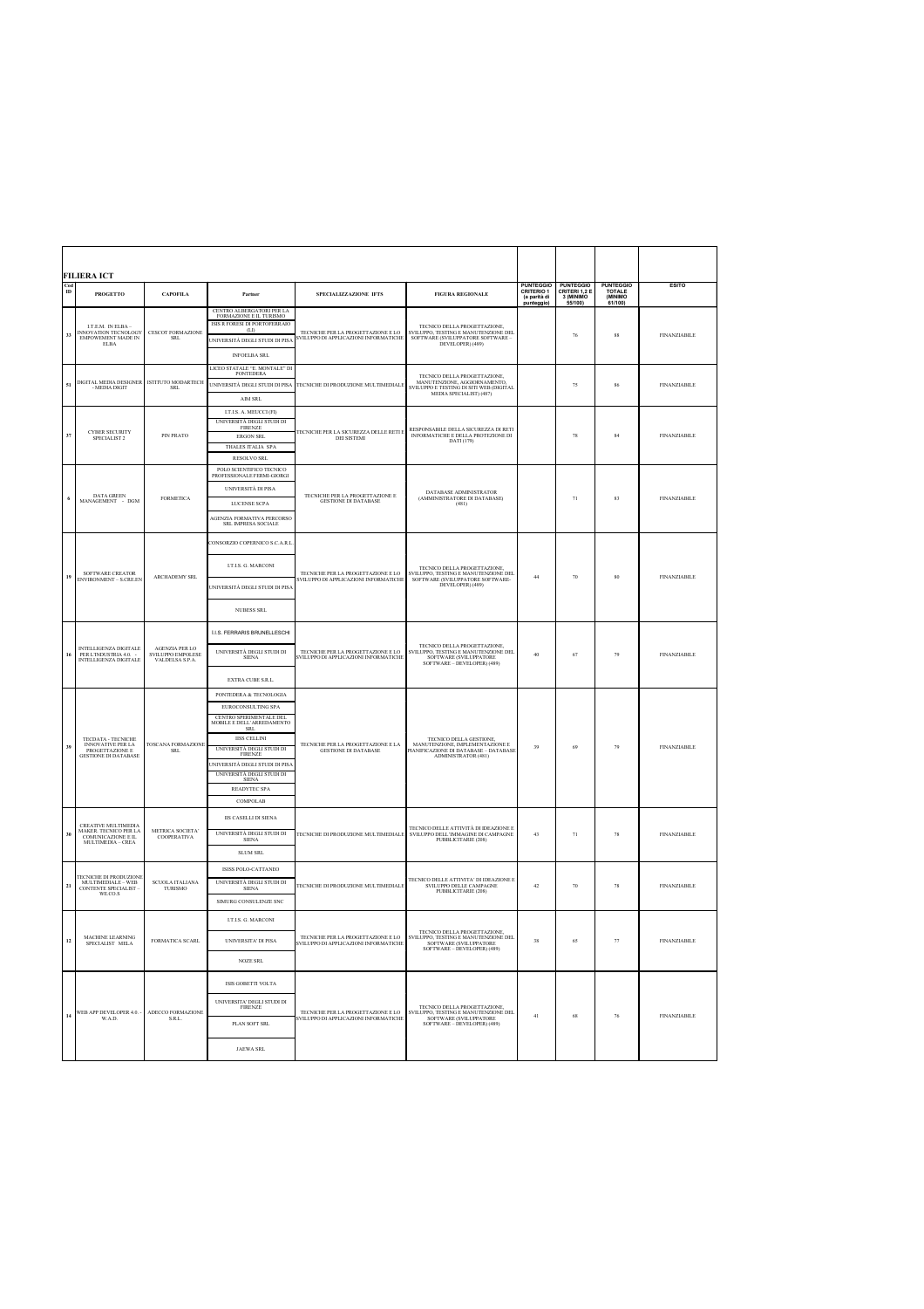|                       | <b>FILIERA ICT</b>                                                                               |                                                               |                                                                                                                                                                                                                                                                                                                   |                                                                                                       |                                                                                                                                                                               |                                                       |                                                             |                                                    |                     |
|-----------------------|--------------------------------------------------------------------------------------------------|---------------------------------------------------------------|-------------------------------------------------------------------------------------------------------------------------------------------------------------------------------------------------------------------------------------------------------------------------------------------------------------------|-------------------------------------------------------------------------------------------------------|-------------------------------------------------------------------------------------------------------------------------------------------------------------------------------|-------------------------------------------------------|-------------------------------------------------------------|----------------------------------------------------|---------------------|
| $_{\rm ID}^{\rm Cod}$ | <b>PROGETTO</b>                                                                                  | <b>CAPOFILA</b>                                               | Partner                                                                                                                                                                                                                                                                                                           | SPECIALIZZAZIONE IFTS                                                                                 | <b>FIGURA REGIONALE</b>                                                                                                                                                       | PUNTEGGIO<br>CRITERIO 1<br>(a parità di<br>punteggio) | <b>PUNTEGGIO<br/>CRITERI 1,2 E<br/>3 (MINIMO</b><br>55/100) | <b>PUNTEGGIO<br/>TOTALE<br/>(MINIMO</b><br>61/100) | <b>ESITO</b>        |
| 33                    | LT.E.M. IN ELBA-<br>INNOVATION TECNOLOGY<br>EMPOWEMENT MADE IN<br><b>ELBA</b>                    | <b>CESCOT FORMAZIONE</b><br><b>SRL</b>                        | CENTRO ALBERGATORI PER LA<br>FORMAZIONE E IL TURISMO<br>ISIS R FORESI DI PORTOFERRAIO<br>(LD<br>UNIVERSITÀ DEGLI STUDI DI PIS/<br><b>INFOELBA SRL</b>                                                                                                                                                             | TECNICHE PER LA PROGETTAZIONE E LO<br>SVILUPPO DI APPLICAZIONI INFORMATICHE                           | TECNICO DELLA PROGETTAZIONE,<br>$\begin{array}{ll} \text{SVILUPPO, TESTING E MANUTENZIONE DEL} \\ \text{SOFTWARE (SVILUPPATORE SOFTWARE}-\text{DEVELOPER}) (489) \end{array}$ |                                                       | 76                                                          | 88                                                 | <b>FINANZIABILE</b> |
| 51                    | DIGITAL MEDIA DESIGNER<br>- MEDIA DIGIT                                                          | ISTITUTO MODARTECH<br><b>SRL</b>                              | LICEO STATALE "E. MONTALE" DI<br>PONTEDERA<br>UNIVERSITÀ DEGLI STUDI DI PISA<br>AIM SRL                                                                                                                                                                                                                           | TECNICHE DI PRODUZIONE MULTIMEDIALE                                                                   | TECNICO DELLA PROGETTAZIONE.<br>MANUTENZIONE, AGGIORNAMENTO,<br>SVILUPPO E TESTING DI SITI WEB (DIGITAL<br>MEDIA SPECIALIST) (487)                                            |                                                       | 75                                                          | 86                                                 | <b>FINANZIABILE</b> |
| 37                    | <b>CYBER SECURITY</b><br>SPECIALIST 2                                                            | PIN PRATO                                                     | I.T.I.S. A. MEUCCI (FI)<br>UNIVERSITÀ DEGLI STUDI DI<br><b>FIRENZE</b><br><b>ERGON SRL</b><br>THALES ITALIA SPA<br><b>RESOLVO SRL</b>                                                                                                                                                                             | TECNICHE PER LA SICUREZZA DELLE RETI E<br><b>DEI SISTEMI</b>                                          | RESPONSABILE DELLA SICUREZZA DI RETI<br>INFORMATICHE E DELLA PROTEZIONE DI<br>DATI (179)                                                                                      |                                                       | 78                                                          | 84                                                 | <b>FINANZIABILE</b> |
| 6                     | DATA GREEN<br>MANAGEMENT - DGM                                                                   | <b>FORMETICA</b>                                              | POLO SCIENTIFICO TECNICO<br>PROFESSIONALE FERMI-GIORGI<br>UNIVERSITÀ DI PISA<br>LUCENSE SCPA<br><b>AGENZIA FORMATIVA PERCORSC</b><br>SRL IMPRESA SOCIALE                                                                                                                                                          | $\begin{array}{ll} \text{TECNICHE PER LA PROGETTAZIONE E} \\ \text{GESTIONE DI DATABASE} \end{array}$ | DATABASE ADMINISTRATOR<br>(AMMINISTRATORE DI DATABASE)<br>(481)                                                                                                               |                                                       | 71                                                          | 83                                                 | <b>FINANZIABILE</b> |
| 19                    | SOFTWARE CREATOR<br>ENVIRONMENT - S.CRE.EN                                                       | <b>ARCHADEMY SRL</b>                                          | CONSORZIO COPERNICO S.C.A.R.I<br><b>LT.I.S. G. MARCONI</b><br>UNIVERSITÀ DEGLI STUDI DI PISA<br><b>NUBESS SRL</b>                                                                                                                                                                                                 | TECNICHE PER LA PROGETTAZIONE E LO<br>SVILUPPO DI APPLICAZIONI INFORMATICHE                           | TECNICO DELLA PROGETTAZIONE.<br>SVILUPPO, TESTING E MANUTENZIONE DEL<br>SOFTWARE (SVILUPPATORE SOFTWARE-DEVELOPER) (489)                                                      | 44                                                    | 70                                                          | 80                                                 | <b>FINANZIABILE</b> |
| 16                    | INTELLIGENZA DIGITALE<br>PER L'INDUSTRIA 4.0.<br>INTELLIGENZA DIGITALE                           | <b>AGENZIA PER LO</b><br>SVILUPPO EMPOLESE<br>VALDELSA S.P.A. | I.I.S. FERRARIS BRUNELLESCHI<br>UNIVERSITÀ DEGLI STUDI DI<br><b>SIENA</b><br>EXTRA CUBE S.R.L.                                                                                                                                                                                                                    | TECNICHE PER LA PROGETTAZIONE E LO<br>SVILUPPO DI APPLICAZIONI INFORMATICHE                           | TECNICO DELLA PROGETTAZIONE,<br>SVILUPPO, TESTING E MANUTENZIONE DEL<br>SOFTWARE (SVILUPPATORE<br>SOFTWARE - DEVELOPER) (489)                                                 | 40                                                    | 67                                                          | 79                                                 | <b>FINANZIABILE</b> |
| 39                    | TECDATA - TECNICHE<br><b>INNOVATIVE PER LA</b><br>PROGETTAZIONE E<br><b>GESTIONE DI DATABASE</b> | <b>TOSCANA FORMAZIONE</b><br>SRL                              | PONTEDERA & TECNOLOGIA<br><b>EUROCONSULTING SPA</b><br>CENTRO SPERIMENTALE DEL<br>MOBILE E DELL'ARREDAMENTO<br><b>SRL</b><br><b>IISS CELLINI</b><br>UNIVERSITÀ DEGLI STUDI DI<br><b>FIRENZE</b><br><b>JNIVERSITÀ DEGLI STUDI DI PISA</b><br>UNIVERSITÀ DEGLI STUDI DI<br><b>SIENA</b><br>READYTEC SPA<br>COMPOLAB | TECNICHE PER LA PROGETTAZIONE E LA<br><b>GESTIONE DI DATABASE</b>                                     | TECNICO DELLA GESTIONE,<br>MANUTENZIONE, IMPLEMENTAZIONE E<br>PIANIFICAZIONE DI DATABASE – DATABASE<br><b>ADMINISTRATOR (481)</b>                                             | 39                                                    | 69                                                          | 79                                                 | <b>FINANZIABILE</b> |
| 30                    | CREATIVE MULTIMEDIA<br>MAKER. TECNICO PER LA<br>COMUNICAZIONE E IL<br>MULTIMEDIA - CREA          | METRICA SOCIETA'<br>COOPERATIVA                               | IIS CASELLI DI SIENA<br>UNIVERSITÀ DEGLI STUDI DI SIENA<br>SLUM SRL                                                                                                                                                                                                                                               | TECNICHE DI PRODUZIONE MULTIMEDIALE                                                                   | TECNICO DELLE ATTIVITÀ DI IDEAZIONE E<br>SVILUPPO DELL'IMMAGINE DI CAMPAGNE<br>PUBBLICITARIE (208)                                                                            | 43                                                    | 71                                                          | 78                                                 | <b>FINANZIABILE</b> |
| 21                    | TECNICHE DI PRODUZIONE<br>MULTIMEDIALE – WEB<br>CONTENTE SPECIALIST<br>WE.CO.S                   | SCUOLA ITALIANA<br>TURISMO                                    | ISISS POLO-CATTANEO<br>UNIVERSITÀ DEGLI STUDI DI<br><b>SIENA</b><br>SIMURG CONSULENZE SNC                                                                                                                                                                                                                         | TECNICHE DI PRODUZIONE MULTIMEDIALE                                                                   | TECNICO DELLE ATTIVITA" DI IDEAZIONE E<br>SVILUPPO DELLE CAMPAGNE<br>PUBBLICITARIE (208)                                                                                      | 42                                                    | 70                                                          | 78                                                 | <b>FINANZIABILE</b> |
| 12                    | MACHINE LEARNING<br>SPECIALIST MELA                                                              | <b>FORMATICA SCARL</b>                                        | <b>LT.I.S. G. MARCONI</b><br>UNIVERSITA' DI PISA<br>NOZE SRL                                                                                                                                                                                                                                                      | AZIONE E LO<br>SVILUPPO DI APPLICAZIONI INFORMATICHE                                                  | TECNICO DELLA PROGETTAZIONE<br>ESTING I<br>SOFTWARE (SVILUPPATORE<br>SOFTWARE - DEVELOPER) (489)                                                                              | 38                                                    | 65                                                          |                                                    | <b>FINANZIABILE</b> |
| 14                    | WEB APP DEVELOPER 4.0.<br>W.A.D.                                                                 | ADECCO FORMAZIONE<br>S.R.L.                                   | ISIS GOBETTI VOLTA<br>UNIVERSITA' DEGLI STUDI DI<br><b>FIRENZE</b><br>PLAN SOFT SRL<br><b>JAEWA SRL</b>                                                                                                                                                                                                           | TECNICHE PER LA PROGETTAZIONE E LO<br>SVILUPPO DI APPLICAZIONI INFORMATICHE                           | TECNICO DELLA PROGETTAZIONE,<br>SVILUPPO, TESTING E MANUTENZIONE DEL<br>SOFTWARE (SVILUPPATORE<br>SOFTWARE - DEVELOPER) (489)                                                 | 41                                                    | 68                                                          | 76                                                 | <b>FINANZIABILE</b> |